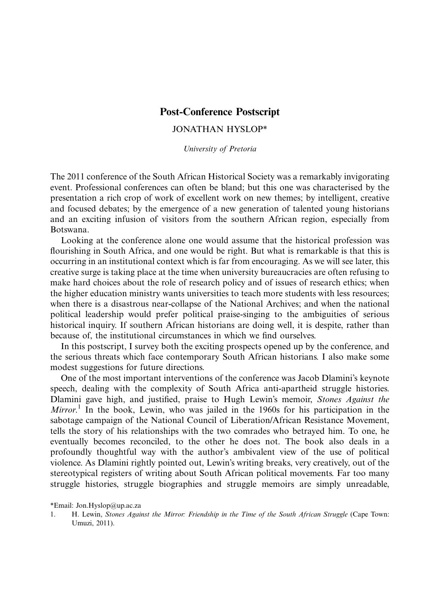## Post-Conference Postscript

## JONATHAN HYSLOP\*

University of Pretoria

The 2011 conference of the South African Historical Society was a remarkably invigorating event. Professional conferences can often be bland; but this one was characterised by the presentation a rich crop of work of excellent work on new themes; by intelligent, creative and focused debates; by the emergence of a new generation of talented young historians and an exciting infusion of visitors from the southern African region, especially from Botswana.

Looking at the conference alone one would assume that the historical profession was flourishing in South Africa, and one would be right. But what is remarkable is that this is occurring in an institutional context which is far from encouraging. As we will see later, this creative surge is taking place at the time when university bureaucracies are often refusing to make hard choices about the role of research policy and of issues of research ethics; when the higher education ministry wants universities to teach more students with less resources; when there is a disastrous near-collapse of the National Archives; and when the national political leadership would prefer political praise-singing to the ambiguities of serious historical inquiry. If southern African historians are doing well, it is despite, rather than because of, the institutional circumstances in which we find ourselves.

In this postscript, I survey both the exciting prospects opened up by the conference, and the serious threats which face contemporary South African historians. I also make some modest suggestions for future directions.

One of the most important interventions of the conference was Jacob Dlamini's keynote speech, dealing with the complexity of South Africa anti-apartheid struggle histories. Dlamini gave high, and justified, praise to Hugh Lewin's memoir, Stones Against the Mirror.<sup>1</sup> In the book, Lewin, who was jailed in the 1960s for his participation in the sabotage campaign of the National Council of Liberation/African Resistance Movement, tells the story of his relationships with the two comrades who betrayed him. To one, he eventually becomes reconciled, to the other he does not. The book also deals in a profoundly thoughtful way with the author's ambivalent view of the use of political violence. As Dlamini rightly pointed out, Lewin's writing breaks, very creatively, out of the stereotypical registers of writing about South African political movements. Far too many struggle histories, struggle biographies and struggle memoirs are simply unreadable,

\*Email: Jon.Hyslop@up.ac.za

<sup>1.</sup> H. Lewin, Stones Against the Mirror: Friendship in the Time of the South African Struggle (Cape Town: Umuzi, 2011).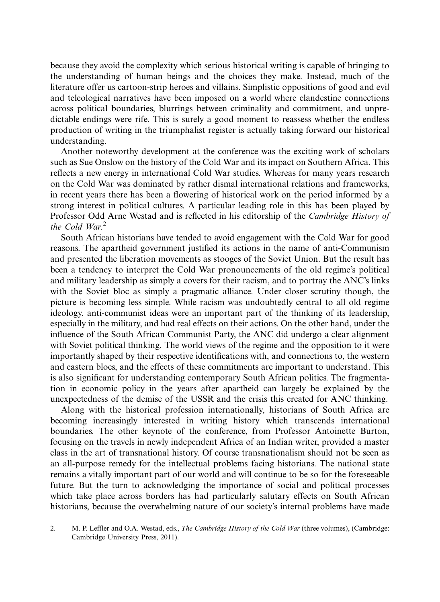because they avoid the complexity which serious historical writing is capable of bringing to the understanding of human beings and the choices they make. Instead, much of the literature offer us cartoon-strip heroes and villains. Simplistic oppositions of good and evil and teleological narratives have been imposed on a world where clandestine connections across political boundaries, blurrings between criminality and commitment, and unpredictable endings were rife. This is surely a good moment to reassess whether the endless production of writing in the triumphalist register is actually taking forward our historical understanding.

Another noteworthy development at the conference was the exciting work of scholars such as Sue Onslow on the history of the Cold War and its impact on Southern Africa. This reflects a new energy in international Cold War studies. Whereas for many years research on the Cold War was dominated by rather dismal international relations and frameworks, in recent years there has been a flowering of historical work on the period informed by a strong interest in political cultures. A particular leading role in this has been played by Professor Odd Arne Westad and is reflected in his editorship of the Cambridge History of the Cold War.<sup>2</sup>

South African historians have tended to avoid engagement with the Cold War for good reasons. The apartheid government justified its actions in the name of anti-Communism and presented the liberation movements as stooges of the Soviet Union. But the result has been a tendency to interpret the Cold War pronouncements of the old regime's political and military leadership as simply a covers for their racism, and to portray the ANC's links with the Soviet bloc as simply a pragmatic alliance. Under closer scrutiny though, the picture is becoming less simple. While racism was undoubtedly central to all old regime ideology, anti-communist ideas were an important part of the thinking of its leadership, especially in the military, and had real effects on their actions. On the other hand, under the influence of the South African Communist Party, the ANC did undergo a clear alignment with Soviet political thinking. The world views of the regime and the opposition to it were importantly shaped by their respective identifications with, and connections to, the western and eastern blocs, and the effects of these commitments are important to understand. This is also significant for understanding contemporary South African politics. The fragmentation in economic policy in the years after apartheid can largely be explained by the unexpectedness of the demise of the USSR and the crisis this created for ANC thinking.

Along with the historical profession internationally, historians of South Africa are becoming increasingly interested in writing history which transcends international boundaries. The other keynote of the conference, from Professor Antoinette Burton, focusing on the travels in newly independent Africa of an Indian writer, provided a master class in the art of transnational history. Of course transnationalism should not be seen as an all-purpose remedy for the intellectual problems facing historians. The national state remains a vitally important part of our world and will continue to be so for the foreseeable future. But the turn to acknowledging the importance of social and political processes which take place across borders has had particularly salutary effects on South African historians, because the overwhelming nature of our society's internal problems have made

2. M. P. Leffler and O.A. Westad, eds., The Cambridge History of the Cold War (three volumes), (Cambridge: Cambridge University Press, 2011).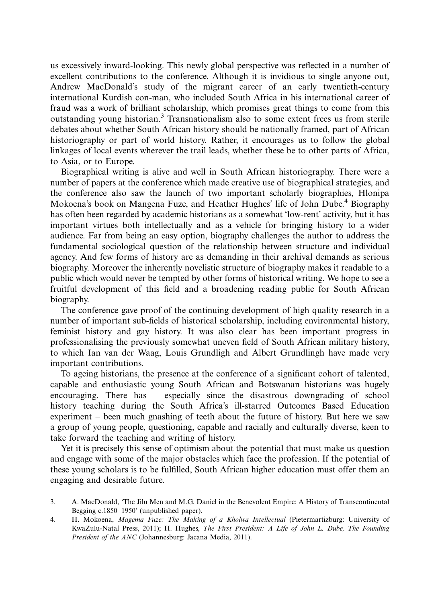us excessively inward-looking. This newly global perspective was reflected in a number of excellent contributions to the conference. Although it is invidious to single anyone out, Andrew MacDonald's study of the migrant career of an early twentieth-century international Kurdish con-man, who included South Africa in his international career of fraud was a work of brilliant scholarship, which promises great things to come from this outstanding young historian.<sup>3</sup> Transnationalism also to some extent frees us from sterile debates about whether South African history should be nationally framed, part of African historiography or part of world history. Rather, it encourages us to follow the global linkages of local events wherever the trail leads, whether these be to other parts of Africa, to Asia, or to Europe.

Biographical writing is alive and well in South African historiography. There were a number of papers at the conference which made creative use of biographical strategies, and the conference also saw the launch of two important scholarly biographies, Hlonipa Mokoena's book on Mangena Fuze, and Heather Hughes' life of John Dube.<sup>4</sup> Biography has often been regarded by academic historians as a somewhat 'low-rent' activity, but it has important virtues both intellectually and as a vehicle for bringing history to a wider audience. Far from being an easy option, biography challenges the author to address the fundamental sociological question of the relationship between structure and individual agency. And few forms of history are as demanding in their archival demands as serious biography. Moreover the inherently novelistic structure of biography makes it readable to a public which would never be tempted by other forms of historical writing. We hope to see a fruitful development of this field and a broadening reading public for South African biography.

The conference gave proof of the continuing development of high quality research in a number of important sub-fields of historical scholarship, including environmental history, feminist history and gay history. It was also clear has been important progress in professionalising the previously somewhat uneven field of South African military history, to which Ian van der Waag, Louis Grundligh and Albert Grundlingh have made very important contributions.

To ageing historians, the presence at the conference of a significant cohort of talented, capable and enthusiastic young South African and Botswanan historians was hugely encouraging. There has especially since the disastrous downgrading of school history teaching during the South Africa's ill-starred Outcomes Based Education experiment  $-$  been much gnashing of teeth about the future of history. But here we saw a group of young people, questioning, capable and racially and culturally diverse, keen to take forward the teaching and writing of history.

Yet it is precisely this sense of optimism about the potential that must make us question and engage with some of the major obstacles which face the profession. If the potential of these young scholars is to be fulfilled, South African higher education must offer them an engaging and desirable future.

<sup>3.</sup> A. MacDonald, 'The Jilu Men and M.G. Daniel in the Benevolent Empire: A History of Transcontinental Begging c.1850-1950' (unpublished paper).

<sup>4.</sup> H. Mokoena, Magema Fuze: The Making of a Kholwa Intellectual (Pietermartizburg: University of KwaZulu-Natal Press, 2011); H. Hughes, The First President: A Life of John L. Dube, The Founding President of the ANC (Johannesburg: Jacana Media, 2011).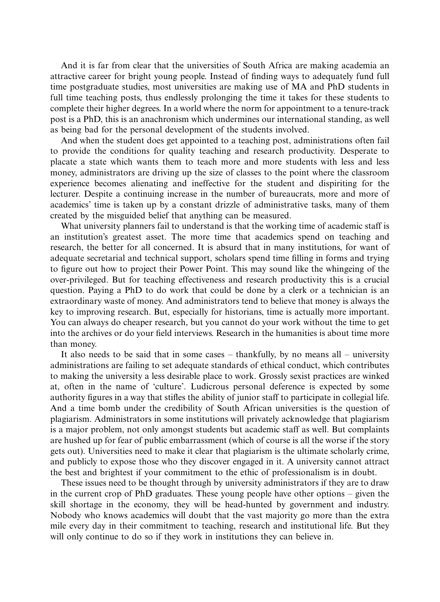And it is far from clear that the universities of South Africa are making academia an attractive career for bright young people. Instead of finding ways to adequately fund full time postgraduate studies, most universities are making use of MA and PhD students in full time teaching posts, thus endlessly prolonging the time it takes for these students to complete their higher degrees. In a world where the norm for appointment to a tenure-track post is a PhD, this is an anachronism which undermines our international standing, as well as being bad for the personal development of the students involved.

And when the student does get appointed to a teaching post, administrations often fail to provide the conditions for quality teaching and research productivity. Desperate to placate a state which wants them to teach more and more students with less and less money, administrators are driving up the size of classes to the point where the classroom experience becomes alienating and ineffective for the student and dispiriting for the lecturer. Despite a continuing increase in the number of bureaucrats, more and more of academics' time is taken up by a constant drizzle of administrative tasks, many of them created by the misguided belief that anything can be measured.

What university planners fail to understand is that the working time of academic staff is an institution's greatest asset. The more time that academics spend on teaching and research, the better for all concerned. It is absurd that in many institutions, for want of adequate secretarial and technical support, scholars spend time filling in forms and trying to figure out how to project their Power Point. This may sound like the whingeing of the over-privileged. But for teaching effectiveness and research productivity this is a crucial question. Paying a PhD to do work that could be done by a clerk or a technician is an extraordinary waste of money. And administrators tend to believe that money is always the key to improving research. But, especially for historians, time is actually more important. You can always do cheaper research, but you cannot do your work without the time to get into the archives or do your field interviews. Research in the humanities is about time more than money.

It also needs to be said that in some cases  $-$  thankfully, by no means all  $-$  university administrations are failing to set adequate standards of ethical conduct, which contributes to making the university a less desirable place to work. Grossly sexist practices are winked at, often in the name of 'culture'. Ludicrous personal deference is expected by some authority figures in a way that stifles the ability of junior staff to participate in collegial life. And a time bomb under the credibility of South African universities is the question of plagiarism. Administrators in some institutions will privately acknowledge that plagiarism is a major problem, not only amongst students but academic staff as well. But complaints are hushed up for fear of public embarrassment (which of course is all the worse if the story gets out). Universities need to make it clear that plagiarism is the ultimate scholarly crime, and publicly to expose those who they discover engaged in it. A university cannot attract the best and brightest if your commitment to the ethic of professionalism is in doubt.

These issues need to be thought through by university administrators if they are to draw in the current crop of PhD graduates. These young people have other options  $-\frac{1}{2}$  given the skill shortage in the economy, they will be head-hunted by government and industry. Nobody who knows academics will doubt that the vast majority go more than the extra mile every day in their commitment to teaching, research and institutional life. But they will only continue to do so if they work in institutions they can believe in.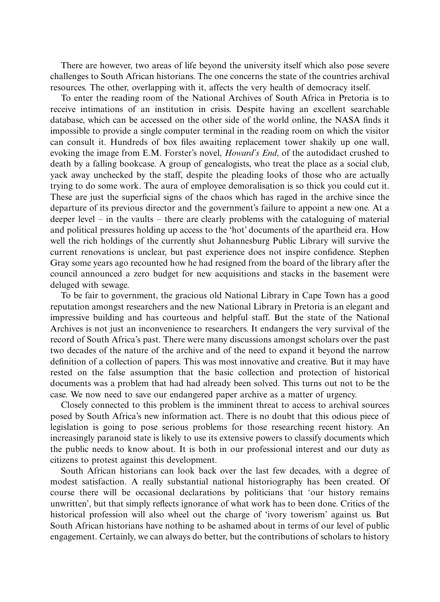There are however, two areas of life beyond the university itself which also pose severe challenges to South African historians. The one concerns the state of the countries archival resources. The other, overlapping with it, affects the very health of democracy itself.

To enter the reading room of the National Archives of South Africa in Pretoria is to receive intimations of an institution in crisis. Despite having an excellent searchable database, which can be accessed on the other side of the world online, the NASA finds it impossible to provide a single computer terminal in the reading room on which the visitor can consult it. Hundreds of box files awaiting replacement tower shakily up one wall, evoking the image from E.M. Forster's novel, *Howard's End*, of the autodidact crushed to death by a falling bookcase. A group of genealogists, who treat the place as a social club, yack away unchecked by the staff, despite the pleading looks of those who are actually trying to do some work. The aura of employee demoralisation is so thick you could cut it. These are just the superficial signs of the chaos which has raged in the archive since the departure of its previous director and the government's failure to appoint a new one. At a deeper level  $-$  in the vaults  $-$  there are clearly problems with the cataloguing of material and political pressures holding up access to the 'hot' documents of the apartheid era. How well the rich holdings of the currently shut Johannesburg Public Library will survive the current renovations is unclear, but past experience does not inspire confidence. Stephen Gray some years ago recounted how he had resigned from the board of the library after the council announced a zero budget for new acquisitions and stacks in the basement were deluged with sewage.

To be fair to government, the gracious old National Library in Cape Town has a good reputation amongst researchers and the new National Library in Pretoria is an elegant and impressive building and has courteous and helpful staff. But the state of the National Archives is not just an inconvenience to researchers. It endangers the very survival of the record of South Africa's past. There were many discussions amongst scholars over the past two decades of the nature of the archive and of the need to expand it beyond the narrow definition of a collection of papers. This was most innovative and creative. But it may have rested on the false assumption that the basic collection and protection of historical documents was a problem that had had already been solved. This turns out not to be the case. We now need to save our endangered paper archive as a matter of urgency.

Closely connected to this problem is the imminent threat to access to archival sources posed by South Africa's new information act. There is no doubt that this odious piece of legislation is going to pose serious problems for those researching recent history. An increasingly paranoid state is likely to use its extensive powers to classify documents which the public needs to know about. It is both in our professional interest and our duty as citizens to protest against this development.

South African historians can look back over the last few decades, with a degree of modest satisfaction. A really substantial national historiography has been created. Of course there will be occasional declarations by politicians that 'our history remains unwritten', but that simply reflects ignorance of what work has to been done. Critics of the historical profession will also wheel out the charge of 'ivory towerism' against us. But South African historians have nothing to be ashamed about in terms of our level of public engagement. Certainly, we can always do better, but the contributions of scholars to history